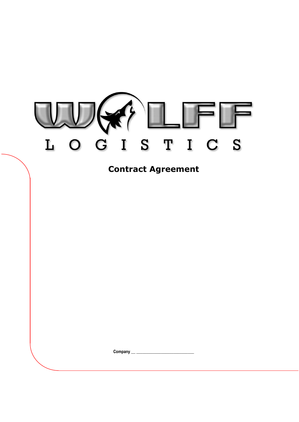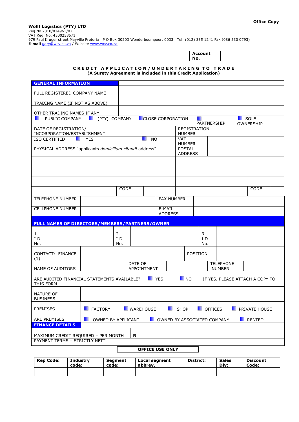**Wolff Logistics (PTY) LTD** Reg No 2010/014961/07 VAT Reg. No. 4500258571 979 Paul Kruger street Mayville Pretoria P O Box 30203 Wonderboompoort 0033 Tel: (012) 335 1241 Fax (086 530 0793) **E-mail** [gary@wcv.co.za](mailto:gary@wcv.co.za) / Website [www.wcv.co.za](http://www.wcv.co.za/)

> **Account No.**

## CREDIT APPLICATION/UNDERTAKING TO TRADE **(A Surety Agreement is included in this Credit Application)**

| <b>GENERAL INFORMATION</b>                                                                                                 |                   |                  |             |                                |      |                     |                  |  |               |  |
|----------------------------------------------------------------------------------------------------------------------------|-------------------|------------------|-------------|--------------------------------|------|---------------------|------------------|--|---------------|--|
| FULL REGISTERED COMPANY NAME                                                                                               |                   |                  |             |                                |      |                     |                  |  |               |  |
| TRADING NAME (IF NOT AS ABOVE)                                                                                             |                   |                  |             |                                |      |                     |                  |  |               |  |
| OTHER TRADING NAMES IF ANY                                                                                                 |                   |                  |             |                                |      |                     |                  |  |               |  |
| (PTY) COMPANY<br>SOLE<br>PUBLIC COMPANY<br><b>CLOSE CORPORATION</b><br>PARTNERSHIP<br>OWNERSHIP                            |                   |                  |             |                                |      |                     |                  |  |               |  |
| DATE OF REGISTRATION/<br>INCORPORATION/ESTABLISHMENT                                                                       |                   |                  |             |                                |      | <b>REGISTRATION</b> |                  |  |               |  |
| ISO CERTIFIED                                                                                                              | <b>NO</b>         |                  |             | <b>NUMBER</b><br>VAT           |      |                     |                  |  |               |  |
| PHYSICAL ADDRESS "applicants domicilium citandi address"                                                                   |                   |                  |             | <b>NUMBER</b><br><b>POSTAL</b> |      |                     |                  |  |               |  |
|                                                                                                                            |                   |                  |             | <b>ADDRESS</b>                 |      |                     |                  |  |               |  |
|                                                                                                                            |                   |                  |             |                                |      |                     |                  |  |               |  |
|                                                                                                                            |                   |                  |             |                                |      |                     |                  |  |               |  |
|                                                                                                                            |                   | CODE             |             |                                |      |                     |                  |  | CODE          |  |
| <b>TELEPHONE NUMBER</b>                                                                                                    |                   |                  |             |                                |      |                     |                  |  |               |  |
|                                                                                                                            | <b>FAX NUMBER</b> |                  |             |                                |      |                     |                  |  |               |  |
| <b>CELLPHONE NUMBER</b><br>E-MAIL<br><b>ADDRESS</b>                                                                        |                   |                  |             |                                |      |                     |                  |  |               |  |
| FULL NAMES OF DIRECTORS/MEMBERS/PARTNERS/OWNER                                                                             |                   |                  |             |                                |      |                     |                  |  |               |  |
| 1.                                                                                                                         |                   | 2.               |             |                                |      | 3.                  |                  |  |               |  |
| I.D<br>No.                                                                                                                 |                   | I.D<br>No.       |             |                                |      | I.D<br>No.          |                  |  |               |  |
| CONTACT: FINANCE                                                                                                           |                   |                  |             |                                |      | POSITION            |                  |  |               |  |
| (1)                                                                                                                        |                   | DATE OF          |             |                                |      |                     | <b>TELEPHONE</b> |  |               |  |
| NAME OF AUDITORS                                                                                                           |                   |                  | APPOINTMENT |                                |      |                     | NUMBER:          |  |               |  |
| <b>EXAMPLE</b><br><b>NO</b><br>ARE AUDITED FINANCIAL STATEMENTS AVAILABLE?<br>IF YES, PLEASE ATTACH A COPY TO<br>THIS FORM |                   |                  |             |                                |      |                     |                  |  |               |  |
| <b>NATURE OF</b><br><b>BUSINESS</b>                                                                                        |                   |                  |             |                                |      |                     |                  |  |               |  |
| <b>PREMISES</b>                                                                                                            | <b>FACTORY</b>    | <b>WAREHOUSE</b> |             |                                | SHOP |                     | <b>DEFICES</b>   |  | PRIVATE HOUSE |  |
| <b>ARE PREMISES</b><br>OWNED BY ASSOCIATED COMPANY<br><b>RENTED</b><br>OWNED BY APPLICANT<br>٠                             |                   |                  |             |                                |      |                     |                  |  |               |  |
| <b>FINANCE DETAILS</b>                                                                                                     |                   |                  |             |                                |      |                     |                  |  |               |  |
| R<br>MAXIMUM CREDIT REQUIRED - PER MONTH                                                                                   |                   |                  |             |                                |      |                     |                  |  |               |  |
| PAYMENT TERMS - STRICTLY NETT                                                                                              |                   |                  |             |                                |      |                     |                  |  |               |  |
|                                                                                                                            |                   |                  |             | OFFICE LISE ONLY               |      |                     |                  |  |               |  |

## **OFFICE USE ONLY**

| <b>Rep Code:</b> | <b>Industry</b><br>Seament<br>code:<br>code: |  | Local segment<br>abbrev. | <b>District:</b> | <b>Sales</b><br>Div: | <b>Discount</b><br>Code: |  |
|------------------|----------------------------------------------|--|--------------------------|------------------|----------------------|--------------------------|--|
|                  |                                              |  |                          |                  |                      |                          |  |